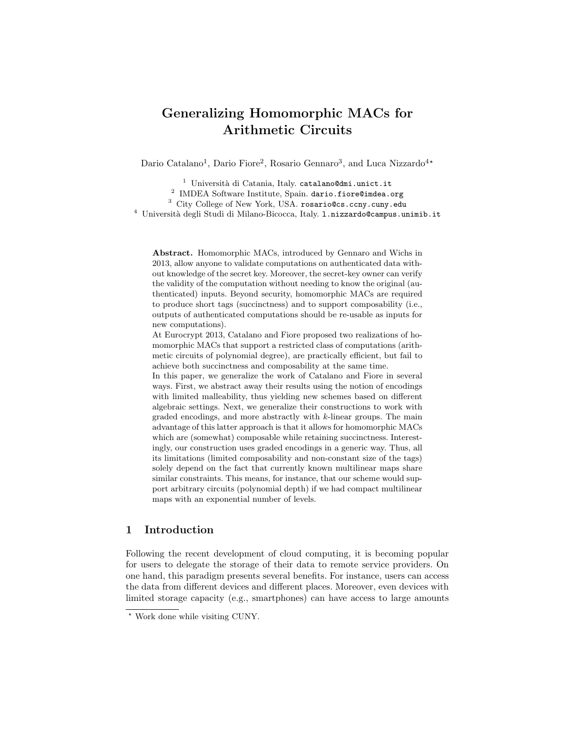# Generalizing Homomorphic MACs for Arithmetic Circuits

Dario Catalano<sup>1</sup>, Dario Fiore<sup>2</sup>, Rosario Gennaro<sup>3</sup>, and Luca Nizzardo<sup>4\*</sup>

 $1$  Università di Catania, Italy. catalano@dmi.unict.it

<sup>2</sup> IMDEA Software Institute, Spain. dario.fiore@imdea.org

<sup>3</sup> City College of New York, USA. rosario@cs.ccny.cuny.edu

<sup>4</sup> Università degli Studi di Milano-Bicocca, Italy. 1.nizzardo@campus.unimib.it

Abstract. Homomorphic MACs, introduced by Gennaro and Wichs in 2013, allow anyone to validate computations on authenticated data without knowledge of the secret key. Moreover, the secret-key owner can verify the validity of the computation without needing to know the original (authenticated) inputs. Beyond security, homomorphic MACs are required to produce short tags (succinctness) and to support composability (i.e., outputs of authenticated computations should be re-usable as inputs for new computations).

At Eurocrypt 2013, Catalano and Fiore proposed two realizations of homomorphic MACs that support a restricted class of computations (arithmetic circuits of polynomial degree), are practically efficient, but fail to achieve both succinctness and composability at the same time.

In this paper, we generalize the work of Catalano and Fiore in several ways. First, we abstract away their results using the notion of encodings with limited malleability, thus yielding new schemes based on different algebraic settings. Next, we generalize their constructions to work with graded encodings, and more abstractly with  $k$ -linear groups. The main advantage of this latter approach is that it allows for homomorphic MACs which are (somewhat) composable while retaining succinctness. Interestingly, our construction uses graded encodings in a generic way. Thus, all its limitations (limited composability and non-constant size of the tags) solely depend on the fact that currently known multilinear maps share similar constraints. This means, for instance, that our scheme would support arbitrary circuits (polynomial depth) if we had compact multilinear maps with an exponential number of levels.

## 1 Introduction

Following the recent development of cloud computing, it is becoming popular for users to delegate the storage of their data to remote service providers. On one hand, this paradigm presents several benefits. For instance, users can access the data from different devices and different places. Moreover, even devices with limited storage capacity (e.g., smartphones) can have access to large amounts

<sup>?</sup> Work done while visiting CUNY.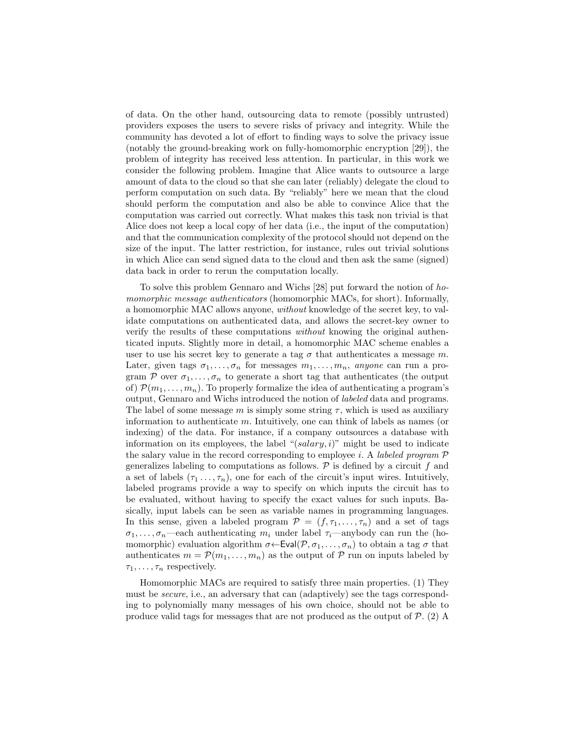of data. On the other hand, outsourcing data to remote (possibly untrusted) providers exposes the users to severe risks of privacy and integrity. While the community has devoted a lot of effort to finding ways to solve the privacy issue (notably the ground-breaking work on fully-homomorphic encryption [29]), the problem of integrity has received less attention. In particular, in this work we consider the following problem. Imagine that Alice wants to outsource a large amount of data to the cloud so that she can later (reliably) delegate the cloud to perform computation on such data. By "reliably" here we mean that the cloud should perform the computation and also be able to convince Alice that the computation was carried out correctly. What makes this task non trivial is that Alice does not keep a local copy of her data (i.e., the input of the computation) and that the communication complexity of the protocol should not depend on the size of the input. The latter restriction, for instance, rules out trivial solutions in which Alice can send signed data to the cloud and then ask the same (signed) data back in order to rerun the computation locally.

To solve this problem Gennaro and Wichs [28] put forward the notion of homomorphic message authenticators (homomorphic MACs, for short). Informally, a homomorphic MAC allows anyone, without knowledge of the secret key, to validate computations on authenticated data, and allows the secret-key owner to verify the results of these computations without knowing the original authenticated inputs. Slightly more in detail, a homomorphic MAC scheme enables a user to use his secret key to generate a tag  $\sigma$  that authenticates a message m. Later, given tags  $\sigma_1, \ldots, \sigma_n$  for messages  $m_1, \ldots, m_n$ , anyone can run a program P over  $\sigma_1, \ldots, \sigma_n$  to generate a short tag that authenticates (the output of)  $\mathcal{P}(m_1, \ldots, m_n)$ . To properly formalize the idea of authenticating a program's output, Gennaro and Wichs introduced the notion of labeled data and programs. The label of some message m is simply some string  $\tau$ , which is used as auxiliary information to authenticate m. Intuitively, one can think of labels as names (or indexing) of the data. For instance, if a company outsources a database with information on its employees, the label " $(salary, i)$ " might be used to indicate the salary value in the record corresponding to employee i. A labeled program  $\mathcal P$ generalizes labeling to computations as follows.  $P$  is defined by a circuit f and a set of labels  $(\tau_1 \ldots, \tau_n)$ , one for each of the circuit's input wires. Intuitively, labeled programs provide a way to specify on which inputs the circuit has to be evaluated, without having to specify the exact values for such inputs. Basically, input labels can be seen as variable names in programming languages. In this sense, given a labeled program  $\mathcal{P} = (f, \tau_1, \ldots, \tau_n)$  and a set of tags  $\sigma_1, \ldots, \sigma_n$ —each authenticating  $m_i$  under label  $\tau_i$ —anybody can run the (homomorphic) evaluation algorithm  $\sigma \leftarrow \text{Eval}(\mathcal{P}, \sigma_1, \ldots, \sigma_n)$  to obtain a tag  $\sigma$  that authenticates  $m = \mathcal{P}(m_1, \ldots, m_n)$  as the output of  $\mathcal P$  run on inputs labeled by  $\tau_1, \ldots, \tau_n$  respectively.

Homomorphic MACs are required to satisfy three main properties. (1) They must be secure, i.e., an adversary that can (adaptively) see the tags corresponding to polynomially many messages of his own choice, should not be able to produce valid tags for messages that are not produced as the output of  $P(2)$  A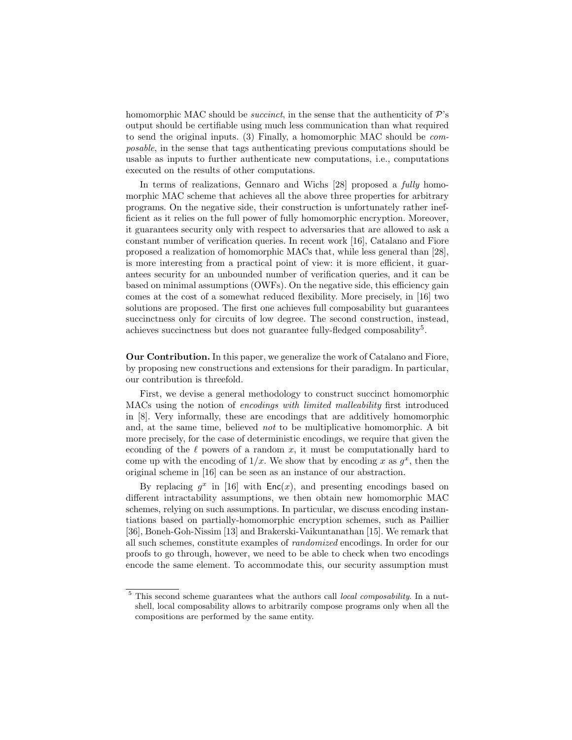homomorphic MAC should be *succinct*, in the sense that the authenticity of  $\mathcal{P}$ 's output should be certifiable using much less communication than what required to send the original inputs. (3) Finally, a homomorphic MAC should be composable, in the sense that tags authenticating previous computations should be usable as inputs to further authenticate new computations, i.e., computations executed on the results of other computations.

In terms of realizations, Gennaro and Wichs [28] proposed a *fully* homomorphic MAC scheme that achieves all the above three properties for arbitrary programs. On the negative side, their construction is unfortunately rather inefficient as it relies on the full power of fully homomorphic encryption. Moreover, it guarantees security only with respect to adversaries that are allowed to ask a constant number of verification queries. In recent work [16], Catalano and Fiore proposed a realization of homomorphic MACs that, while less general than [28], is more interesting from a practical point of view: it is more efficient, it guarantees security for an unbounded number of verification queries, and it can be based on minimal assumptions (OWFs). On the negative side, this efficiency gain comes at the cost of a somewhat reduced flexibility. More precisely, in [16] two solutions are proposed. The first one achieves full composability but guarantees succinctness only for circuits of low degree. The second construction, instead, achieves succinctness but does not guarantee fully-fledged composability<sup>5</sup>.

Our Contribution. In this paper, we generalize the work of Catalano and Fiore, by proposing new constructions and extensions for their paradigm. In particular, our contribution is threefold.

First, we devise a general methodology to construct succinct homomorphic MACs using the notion of encodings with limited malleability first introduced in [8]. Very informally, these are encodings that are additively homomorphic and, at the same time, believed not to be multiplicative homomorphic. A bit more precisely, for the case of deterministic encodings, we require that given the econding of the  $\ell$  powers of a random x, it must be computationally hard to come up with the encoding of  $1/x$ . We show that by encoding x as  $g^x$ , then the original scheme in [16] can be seen as an instance of our abstraction.

By replacing  $g^x$  in [16] with  $Enc(x)$ , and presenting encodings based on different intractability assumptions, we then obtain new homomorphic MAC schemes, relying on such assumptions. In particular, we discuss encoding instantiations based on partially-homomorphic encryption schemes, such as Paillier [36], Boneh-Goh-Nissim [13] and Brakerski-Vaikuntanathan [15]. We remark that all such schemes, constitute examples of randomized encodings. In order for our proofs to go through, however, we need to be able to check when two encodings encode the same element. To accommodate this, our security assumption must

<sup>&</sup>lt;sup>5</sup> This second scheme guarantees what the authors call *local composability*. In a nutshell, local composability allows to arbitrarily compose programs only when all the compositions are performed by the same entity.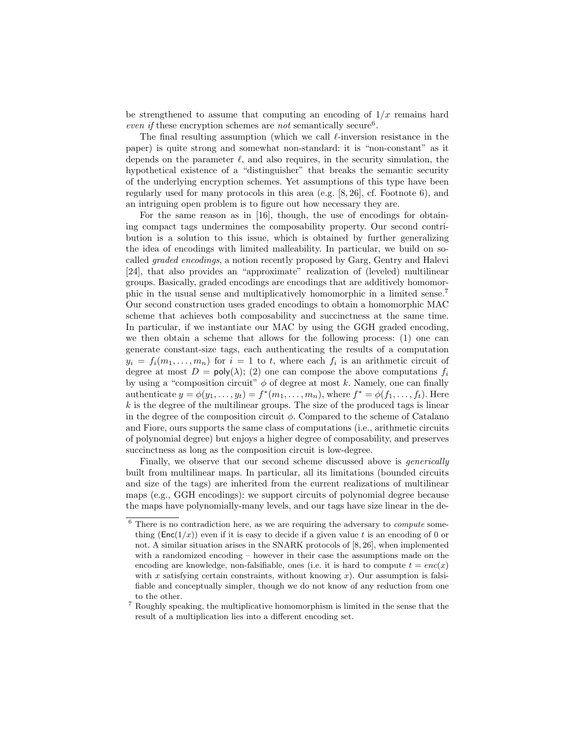be strengthened to assume that computing an encoding of  $1/x$  remains hard even if these encryption schemes are not semantically secure<sup>6</sup>.

The final resulting assumption (which we call  $\ell$ -inversion resistance in the paper) is quite strong and somewhat non-standard: it is "non-constant" as it depends on the parameter  $\ell$ , and also requires, in the security simulation, the hypothetical existence of a "distinguisher" that breaks the semantic security of the underlying encryption schemes. Yet assumptions of this type have been regularly used for many protocols in this area (e.g. [8, 26], cf. Footnote 6), and an intriguing open problem is to figure out how necessary they are.

For the same reason as in [16], though, the use of encodings for obtaining compact tags undermines the composability property. Our second contribution is a solution to this issue, which is obtained by further generalizing the idea of encodings with limited malleability. In particular, we build on socalled graded encodings, a notion recently proposed by Garg, Gentry and Halevi [24], that also provides an "approximate" realization of (leveled) multilinear groups. Basically, graded encodings are encodings that are additively homomorphic in the usual sense and multiplicatively homomorphic in a limited sense.<sup>7</sup> Our second construction uses graded encodings to obtain a homomorphic MAC scheme that achieves both composability and succinctness at the same time. In particular, if we instantiate our MAC by using the GGH graded encoding, we then obtain a scheme that allows for the following process: (1) one can generate constant-size tags, each authenticating the results of a computation  $y_i = f_i(m_1, \ldots, m_n)$  for  $i = 1$  to t, where each  $f_i$  is an arithmetic circuit of degree at most  $D = \text{poly}(\lambda)$ ; (2) one can compose the above computations  $f_i$ by using a "composition circuit"  $\phi$  of degree at most k. Namely, one can finally authenticate  $y = \phi(y_1, \ldots, y_t) = f^*(m_1, \ldots, m_n)$ , where  $f^* = \phi(f_1, \ldots, f_t)$ . Here  $k$  is the degree of the multilinear groups. The size of the produced tags is linear in the degree of the composition circuit  $\phi$ . Compared to the scheme of Catalano and Fiore, ours supports the same class of computations (i.e., arithmetic circuits of polynomial degree) but enjoys a higher degree of composability, and preserves succinctness as long as the composition circuit is low-degree.

Finally, we observe that our second scheme discussed above is generically built from multilinear maps. In particular, all its limitations (bounded circuits and size of the tags) are inherited from the current realizations of multilinear maps (e.g., GGH encodings): we support circuits of polynomial degree because the maps have polynomially-many levels, and our tags have size linear in the de-

 $6$  There is no contradiction here, as we are requiring the adversary to *compute* something ( $Enc(1/x)$ ) even if it is easy to decide if a given value t is an encoding of 0 or not. A similar situation arises in the SNARK protocols of [8, 26], when implemented with a randomized encoding – however in their case the assumptions made on the encoding are knowledge, non-falsifiable, ones (i.e. it is hard to compute  $t = enc(x)$ with  $x$  satisfying certain constraints, without knowing  $x$ ). Our assumption is falsifiable and conceptually simpler, though we do not know of any reduction from one to the other.

 $7$  Roughly speaking, the multiplicative homomorphism is limited in the sense that the result of a multiplication lies into a different encoding set.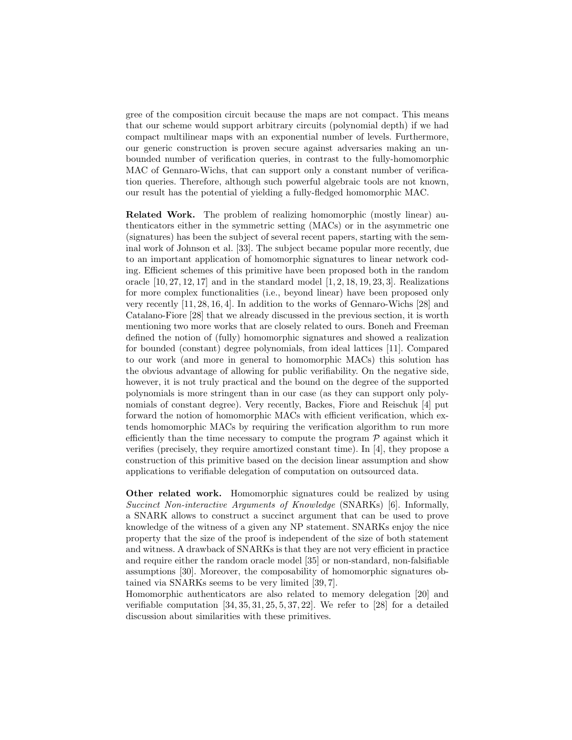gree of the composition circuit because the maps are not compact. This means that our scheme would support arbitrary circuits (polynomial depth) if we had compact multilinear maps with an exponential number of levels. Furthermore, our generic construction is proven secure against adversaries making an unbounded number of verification queries, in contrast to the fully-homomorphic MAC of Gennaro-Wichs, that can support only a constant number of verification queries. Therefore, although such powerful algebraic tools are not known, our result has the potential of yielding a fully-fledged homomorphic MAC.

Related Work. The problem of realizing homomorphic (mostly linear) authenticators either in the symmetric setting (MACs) or in the asymmetric one (signatures) has been the subject of several recent papers, starting with the seminal work of Johnson et al. [33]. The subject became popular more recently, due to an important application of homomorphic signatures to linear network coding. Efficient schemes of this primitive have been proposed both in the random oracle  $[10, 27, 12, 17]$  and in the standard model  $[1, 2, 18, 19, 23, 3]$ . Realizations for more complex functionalities (i.e., beyond linear) have been proposed only very recently [11, 28, 16, 4]. In addition to the works of Gennaro-Wichs [28] and Catalano-Fiore [28] that we already discussed in the previous section, it is worth mentioning two more works that are closely related to ours. Boneh and Freeman defined the notion of (fully) homomorphic signatures and showed a realization for bounded (constant) degree polynomials, from ideal lattices [11]. Compared to our work (and more in general to homomorphic MACs) this solution has the obvious advantage of allowing for public verifiability. On the negative side, however, it is not truly practical and the bound on the degree of the supported polynomials is more stringent than in our case (as they can support only polynomials of constant degree). Very recently, Backes, Fiore and Reischuk [4] put forward the notion of homomorphic MACs with efficient verification, which extends homomorphic MACs by requiring the verification algorithm to run more efficiently than the time necessary to compute the program  $\mathcal P$  against which it verifies (precisely, they require amortized constant time). In [4], they propose a construction of this primitive based on the decision linear assumption and show applications to verifiable delegation of computation on outsourced data.

Other related work. Homomorphic signatures could be realized by using Succinct Non-interactive Arguments of Knowledge (SNARKs) [6]. Informally, a SNARK allows to construct a succinct argument that can be used to prove knowledge of the witness of a given any NP statement. SNARKs enjoy the nice property that the size of the proof is independent of the size of both statement and witness. A drawback of SNARKs is that they are not very efficient in practice and require either the random oracle model [35] or non-standard, non-falsifiable assumptions [30]. Moreover, the composability of homomorphic signatures obtained via SNARKs seems to be very limited [39, 7].

Homomorphic authenticators are also related to memory delegation [20] and verifiable computation  $[34, 35, 31, 25, 5, 37, 22]$ . We refer to  $[28]$  for a detailed discussion about similarities with these primitives.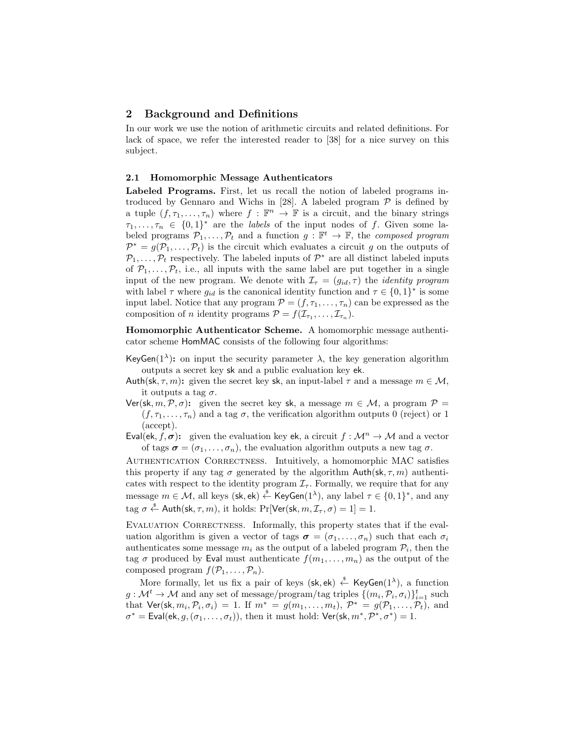## 2 Background and Definitions

In our work we use the notion of arithmetic circuits and related definitions. For lack of space, we refer the interested reader to [38] for a nice survey on this subject.

### 2.1 Homomorphic Message Authenticators

Labeled Programs. First, let us recall the notion of labeled programs introduced by Gennaro and Wichs in [28]. A labeled program  $P$  is defined by a tuple  $(f, \tau_1, \ldots, \tau_n)$  where  $f : \mathbb{F}^n \to \mathbb{F}$  is a circuit, and the binary strings  $\tau_1, \ldots, \tau_n \in \{0,1\}^*$  are the *labels* of the input nodes of f. Given some labeled programs  $\mathcal{P}_1, \ldots, \mathcal{P}_t$  and a function  $g : \mathbb{F}^t \to \mathbb{F}$ , the composed program  $\mathcal{P}^* = g(\mathcal{P}_1, \ldots, \mathcal{P}_t)$  is the circuit which evaluates a circuit g on the outputs of  $\mathcal{P}_1, \ldots, \mathcal{P}_t$  respectively. The labeled inputs of  $\mathcal{P}^*$  are all distinct labeled inputs of  $\mathcal{P}_1, \ldots, \mathcal{P}_t$ , i.e., all inputs with the same label are put together in a single input of the new program. We denote with  $\mathcal{I}_{\tau} = (g_{id}, \tau)$  the *identity program* with label  $\tau$  where  $g_{id}$  is the canonical identity function and  $\tau \in \{0,1\}^*$  is some input label. Notice that any program  $\mathcal{P} = (f, \tau_1, \dots, \tau_n)$  can be expressed as the composition of *n* identity programs  $P = f(\mathcal{I}_{\tau_1}, \dots, \mathcal{I}_{\tau_n}).$ 

Homomorphic Authenticator Scheme. A homomorphic message authenticator scheme HomMAC consists of the following four algorithms:

- KeyGen( $1^{\lambda}$ ): on input the security parameter  $\lambda$ , the key generation algorithm outputs a secret key sk and a public evaluation key ek.
- Auth(sk,  $\tau$ , m): given the secret key sk, an input-label  $\tau$  and a message  $m \in \mathcal{M}$ , it outputs a tag  $\sigma$ .
- Ver(sk,  $m, \mathcal{P}, \sigma$ ): given the secret key sk, a message  $m \in \mathcal{M}$ , a program  $\mathcal{P} =$  $(f, \tau_1, \ldots, \tau_n)$  and a tag  $\sigma$ , the verification algorithm outputs 0 (reject) or 1 (accept).
- Eval(ek, f,  $\sigma$ ): given the evaluation key ek, a circuit  $f : \mathcal{M}^n \to \mathcal{M}$  and a vector of tags  $\sigma = (\sigma_1, \ldots, \sigma_n)$ , the evaluation algorithm outputs a new tag  $\sigma$ .

AUTHENTICATION CORRECTNESS. Intuitively, a homomorphic MAC satisfies this property if any tag  $\sigma$  generated by the algorithm Auth(sk,  $\tau$ , m) authenticates with respect to the identity program  $\mathcal{I}_{\tau}$ . Formally, we require that for any message  $m \in \mathcal{M}$ , all keys (sk, ek)  $\stackrel{\$}{\leftarrow}$  KeyGen(1<sup> $\lambda$ </sup>), any label  $\tau \in \{0,1\}^*$ , and any tag  $\sigma \stackrel{\hspace{0.1em}\mathsf{\scriptscriptstyle\$}}{\leftarrow}$  Auth(sk,  $\tau,m$ ), it holds: Pr[Ver(sk,  $m, {\mathcal{I}}_{\tau}, \sigma)=1]=1.$ 

EVALUATION CORRECTNESS. Informally, this property states that if the evaluation algorithm is given a vector of tags  $\sigma = (\sigma_1, \ldots, \sigma_n)$  such that each  $\sigma_i$ authenticates some message  $m_i$  as the output of a labeled program  $\mathcal{P}_i$ , then the tag  $\sigma$  produced by Eval must authenticate  $f(m_1, \ldots, m_n)$  as the output of the composed program  $f(\mathcal{P}_1, \ldots, \mathcal{P}_n)$ .

More formally, let us fix a pair of keys (sk, ek)  $\stackrel{\$}{\leftarrow}$  KeyGen(1<sup> $\lambda$ </sup>), a function  $g: \mathcal{M}^t \to \mathcal{M}$  and any set of message/program/tag triples  $\{(m_i, \mathcal{P}_i, \sigma_i)\}_{i=1}^t$  such that  $\text{Ver}(\textsf{sk}, m_i, \mathcal{P}_i, \sigma_i) = 1$ . If  $m^* = g(m_1, \ldots, m_t)$ ,  $\mathcal{P}^* = g(\mathcal{P}_1, \ldots, \mathcal{P}_t)$ , and  $\sigma^* = \textsf{Eval}(\textsf{ek}, g, (\sigma_1, \ldots, \sigma_t)),$  then it must hold:  $\textsf{Ver}(\textsf{sk}, m^*, \mathcal{P}^*, \sigma^*) = 1.$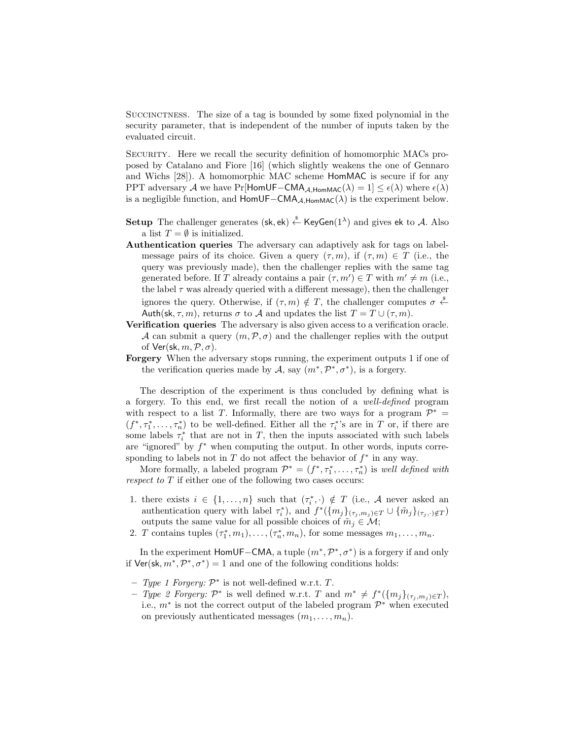Succinctness. The size of a tag is bounded by some fixed polynomial in the security parameter, that is independent of the number of inputs taken by the evaluated circuit.

Security. Here we recall the security definition of homomorphic MACs proposed by Catalano and Fiore [16] (which slightly weakens the one of Gennaro and Wichs [28]). A homomorphic MAC scheme HomMAC is secure if for any PPT adversary A we have Pr[HomUF–CMA<sub>A,HomMAC</sub>( $\lambda$ ) = 1]  $\leq \epsilon(\lambda)$  where  $\epsilon(\lambda)$ is a negligible function, and  $HomUF-CMA_{\mathcal{A},HomMAC}(\lambda)$  is the experiment below.

- **Setup** The challenger generates  $(\mathsf{sk}, \mathsf{ek}) \overset{\hspace{0.1em}\mathsf{\scriptscriptstyle\$}}{\leftarrow} \mathsf{KeyGen}(1^\lambda)$  and gives  $\mathsf{ek}$  to A. Also a list  $T = \emptyset$  is initialized.
- Authentication queries The adversary can adaptively ask for tags on labelmessage pairs of its choice. Given a query  $(\tau, m)$ , if  $(\tau, m) \in T$  (i.e., the query was previously made), then the challenger replies with the same tag generated before. If T already contains a pair  $(\tau, m') \in T$  with  $m' \neq m$  (i.e., the label  $\tau$  was already queried with a different message), then the challenger ignores the query. Otherwise, if  $(\tau, m) \notin T$ , the challenger computes  $\sigma \stackrel{\$}{\leftarrow}$ Auth(sk,  $\tau$ , *m*), returns  $\sigma$  to A and updates the list  $T = T \cup (\tau, m)$ .
- Verification queries The adversary is also given access to a verification oracle. A can submit a query  $(m, \mathcal{P}, \sigma)$  and the challenger replies with the output of  $Ver(\textsf{sk}, m, \mathcal{P}, \sigma)$ .
- Forgery When the adversary stops running, the experiment outputs 1 if one of the verification queries made by A, say  $(m^*, \mathcal{P}^*, \sigma^*)$ , is a forgery.

The description of the experiment is thus concluded by defining what is a forgery. To this end, we first recall the notion of a well-defined program with respect to a list T. Informally, there are two ways for a program  $\mathcal{P}^*$  =  $(f^*, \tau_1^*, \ldots, \tau_n^*)$  to be well-defined. Either all the  $\tau_i^*$ 's are in T or, if there are some labels  $\tau_i^*$  that are not in T, then the inputs associated with such labels are "ignored" by  $f^*$  when computing the output. In other words, inputs corresponding to labels not in  $T$  do not affect the behavior of  $f^*$  in any way.

More formally, a labeled program  $\mathcal{P}^* = (f^*, \tau_1^*, \ldots, \tau_n^*)$  is well defined with respect to T if either one of the following two cases occurs:

- 1. there exists  $i \in \{1, ..., n\}$  such that  $(\tau_i^*, \cdot) \notin T$  (i.e., A never asked an authentication query with label  $\tau_i^*$ ), and  $f^*(\{m_j\}_{(\tau_j,m_j)\in T} \cup \{\tilde{m}_j\}_{(\tau_j,\cdot)\notin T})$ outputs the same value for all possible choices of  $\tilde{m}_j \in \mathcal{M}$ ;
- 2. T contains tuples  $(\tau_1^*, m_1), \ldots, (\tau_n^*, m_n)$ , for some messages  $m_1, \ldots, m_n$ .

In the experiment HomUF–CMA, a tuple  $(m^*, \mathcal{P}^*, \sigma^*)$  is a forgery if and only if  $Ver(sk, m^*, \mathcal{P}^*, \sigma^* = 1$  and one of the following conditions holds:

- Type 1 Forgery:  $\mathcal{P}^*$  is not well-defined w.r.t. T.
- Type 2 Forgery:  $\mathcal{P}^*$  is well defined w.r.t. T and  $m^* \neq f^*(\{m_j\}_{(\tau_j,m_j)\in T}),$ i.e.,  $m^*$  is not the correct output of the labeled program  $\mathcal{P}^*$  when executed on previously authenticated messages  $(m_1, \ldots, m_n)$ .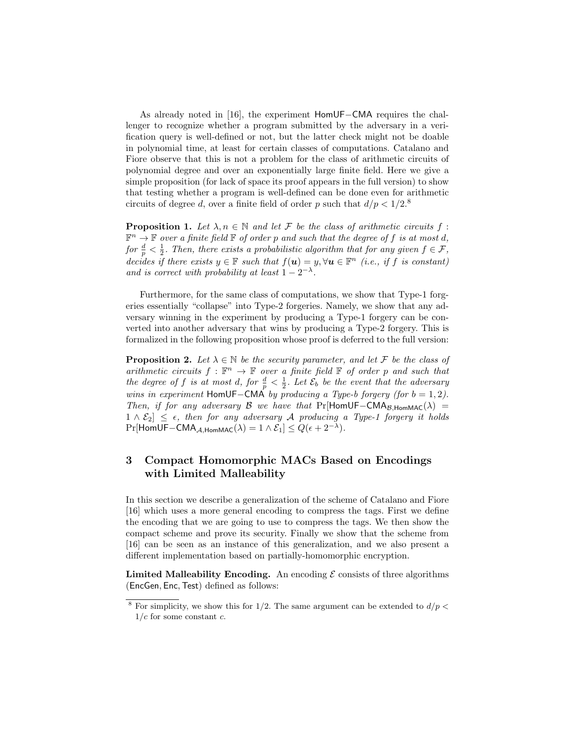As already noted in [16], the experiment HomUF−CMA requires the challenger to recognize whether a program submitted by the adversary in a verification query is well-defined or not, but the latter check might not be doable in polynomial time, at least for certain classes of computations. Catalano and Fiore observe that this is not a problem for the class of arithmetic circuits of polynomial degree and over an exponentially large finite field. Here we give a simple proposition (for lack of space its proof appears in the full version) to show that testing whether a program is well-defined can be done even for arithmetic circuits of degree d, over a finite field of order p such that  $d/p < 1/2$ <sup>8</sup>

**Proposition 1.** Let  $\lambda, n \in \mathbb{N}$  and let F be the class of arithmetic circuits f:  $\mathbb{F}^n \to \mathbb{F}$  over a finite field  $\mathbb{F}$  of order p and such that the degree of f is at most d, for  $\frac{d}{p} < \frac{1}{2}$ . Then, there exists a probabilistic algorithm that for any given  $f \in \mathcal{F}$ , decides if there exists  $y \in \mathbb{F}$  such that  $f(u) = y, \forall u \in \mathbb{F}^n$  (i.e., if f is constant) and is correct with probability at least  $1-2^{-\lambda}$ .

Furthermore, for the same class of computations, we show that Type-1 forgeries essentially "collapse" into Type-2 forgeries. Namely, we show that any adversary winning in the experiment by producing a Type-1 forgery can be converted into another adversary that wins by producing a Type-2 forgery. This is formalized in the following proposition whose proof is deferred to the full version:

**Proposition 2.** Let  $\lambda \in \mathbb{N}$  be the security parameter, and let F be the class of arithmetic circuits  $f : \mathbb{F}^n \to \mathbb{F}$  over a finite field  $\mathbb{F}$  of order p and such that the degree of f is at most d, for  $\frac{d}{p} < \frac{1}{2}$ . Let  $\mathcal{E}_b$  be the event that the adversary wins in experiment HomUF−CMA by producing a Type-b forgery (for  $b = 1, 2$ ). Then, if for any adversary B we have that Pr[HomUF–CMA<sub>B,HomMAC</sub>( $\lambda$ ) =  $1 \wedge \mathcal{E}_2$   $\leq \epsilon$ , then for any adversary A producing a Type-1 forgery it holds  $Pr[\text{HomUF}-\text{CMA}_{\mathcal{A},\text{HomMAC}}(\lambda)=1 \wedge \mathcal{E}_1] \leq Q(\epsilon+2^{-\lambda}).$ 

## 3 Compact Homomorphic MACs Based on Encodings with Limited Malleability

In this section we describe a generalization of the scheme of Catalano and Fiore [16] which uses a more general encoding to compress the tags. First we define the encoding that we are going to use to compress the tags. We then show the compact scheme and prove its security. Finally we show that the scheme from [16] can be seen as an instance of this generalization, and we also present a different implementation based on partially-homomorphic encryption.

**Limited Malleability Encoding.** An encoding  $\mathcal{E}$  consists of three algorithms (EncGen, Enc,Test) defined as follows:

<sup>&</sup>lt;sup>8</sup> For simplicity, we show this for 1/2. The same argument can be extended to  $d/p <$  $1/c$  for some constant c.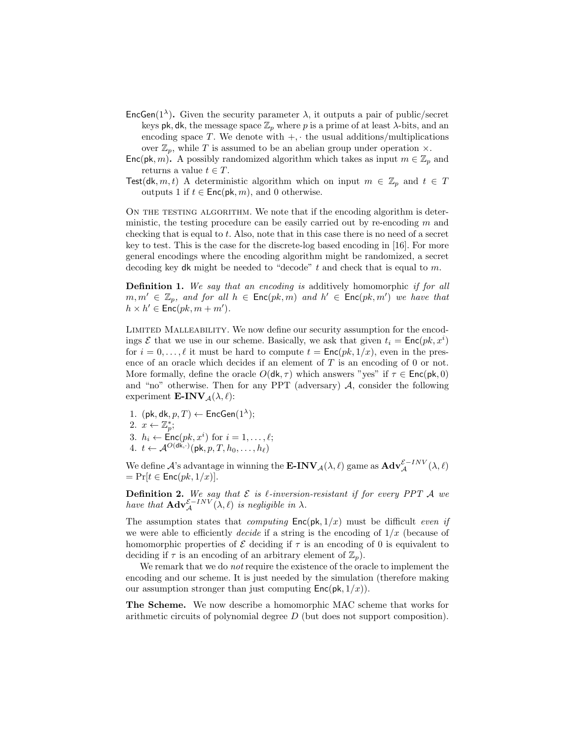- EncGen( $1^{\lambda}$ ). Given the security parameter  $\lambda$ , it outputs a pair of public/secret keys pk, dk, the message space  $\mathbb{Z}_p$  where p is a prime of at least  $\lambda$ -bits, and an encoding space T. We denote with  $+$ ,  $\cdot$  the usual additions/multiplications over  $\mathbb{Z}_p$ , while T is assumed to be an abelian group under operation  $\times$ .
- Enc(pk, m). A possibly randomized algorithm which takes as input  $m \in \mathbb{Z}_p$  and returns a value  $t \in T$ .
- Test(dk, m, t) A deterministic algorithm which on input  $m \in \mathbb{Z}_p$  and  $t \in T$ outputs 1 if  $t \in \text{Enc}(pk, m)$ , and 0 otherwise.

ON THE TESTING ALGORITHM. We note that if the encoding algorithm is deterministic, the testing procedure can be easily carried out by re-encoding  $m$  and checking that is equal to  $t$ . Also, note that in this case there is no need of a secret key to test. This is the case for the discrete-log based encoding in [16]. For more general encodings where the encoding algorithm might be randomized, a secret decoding key dk might be needed to "decode"  $t$  and check that is equal to  $m$ .

Definition 1. We say that an encoding is additively homomorphic if for all  $m, m' \in \mathbb{Z}_p$ , and for all  $h \in \text{Enc}(pk, m)$  and  $h' \in \text{Enc}(pk, m')$  we have that  $h \times h' \in \mathsf{Enc}(pk, m + m').$ 

Limited Malleability. We now define our security assumption for the encodings  $\mathcal E$  that we use in our scheme. Basically, we ask that given  $t_i = \mathsf{Enc}(pk, x^i)$ for  $i = 0, \ldots, \ell$  it must be hard to compute  $t = \text{Enc}(pk, 1/x)$ , even in the presence of an oracle which decides if an element of  $T$  is an encoding of 0 or not. More formally, define the oracle  $O(d\mathsf{k}, \tau)$  which answers "yes" if  $\tau \in \mathsf{Enc}(\mathsf{pk}, 0)$ and "no" otherwise. Then for any PPT (adversary)  $A$ , consider the following experiment **E-INV**<sub>A</sub> $(\lambda, \ell)$ :

- 1. (pk, dk,  $p, T$ )  $\leftarrow$  EncGen(1<sup> $\lambda$ </sup>);
- 2.  $x \leftarrow \mathbb{Z}_p^*$ ;
- 3.  $h_i \leftarrow \text{Enc}(pk, x^i)$  for  $i = 1, \ldots, \ell;$
- 4.  $t \leftarrow \mathcal{A}^{O(\mathsf{dk},\cdot)}(\mathsf{pk},p,T,h_0,\ldots,h_\ell)$

We define  $\mathcal{A}$ 's advantage in winning the E-IN $\mathbf{V}_{\mathcal{A}}(\lambda,\ell)$  game as  $\mathbf{Adv}_{\mathcal{A}}^{\mathcal{E}-INV}(\lambda,\ell)$  $= Pr[t \in Enc(pk, 1/x)].$ 

**Definition 2.** We say that  $\mathcal E$  is  $\ell$ -inversion-resistant if for every PPT  $\mathcal A$  we have that  $\mathbf{Adv}_{\mathcal{A}}^{\mathcal{E}-INV}(\lambda, \ell)$  is negligible in  $\lambda$ .

The assumption states that *computing*  $Enc(\mathsf{pk}, 1/x)$  must be difficult *even if* we were able to efficiently *decide* if a string is the encoding of  $1/x$  (because of homomorphic properties of  $\mathcal E$  deciding if  $\tau$  is an encoding of 0 is equivalent to deciding if  $\tau$  is an encoding of an arbitrary element of  $\mathbb{Z}_p$ ).

We remark that we do *not* require the existence of the oracle to implement the encoding and our scheme. It is just needed by the simulation (therefore making our assumption stronger than just computing  $Enc(\mathsf{pk}, 1/x)$ .

The Scheme. We now describe a homomorphic MAC scheme that works for arithmetic circuits of polynomial degree D (but does not support composition).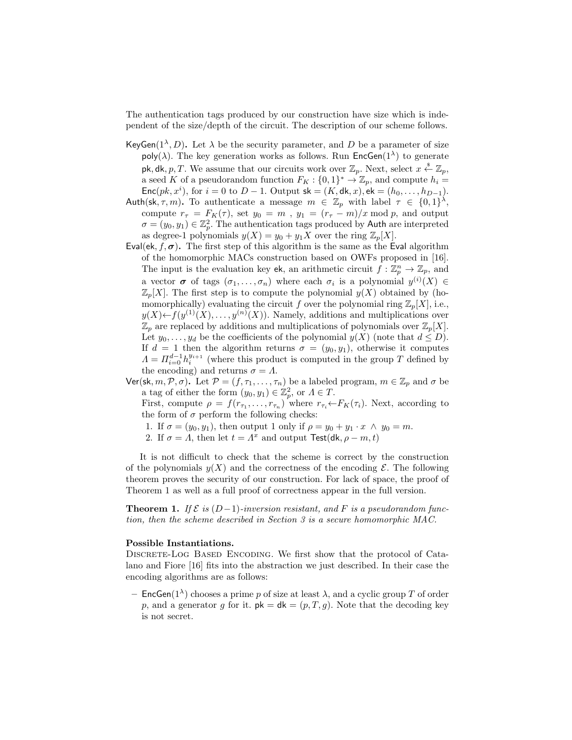The authentication tags produced by our construction have size which is independent of the size/depth of the circuit. The description of our scheme follows.

- KeyGen( $1^{\lambda}, D$ ). Let  $\lambda$  be the security parameter, and D be a parameter of size poly( $\lambda$ ). The key generation works as follows. Run EncGen( $1^{\lambda}$ ) to generate pk, dk, p, T. We assume that our circuits work over  $\mathbb{Z}_p$ . Next, select  $x \stackrel{\hspace{0.1em}\mathsf{\scriptscriptstyle\$}}{\leftarrow} \mathbb{Z}_p$ , a seed K of a pseudorandom function  $F_K: \{0,1\}^* \to \mathbb{Z}_p$ , and compute  $h_i =$ Enc $(pk, x^{i})$ , for  $i = 0$  to  $D - 1$ . Output sk =  $(K, dk, x)$ , ek =  $(h_0, ..., h_{D-1})$ .
- Auth(sk,  $\tau$ , *m*). To authenticate a message  $m \in \mathbb{Z}_p$  with label  $\tau \in \{0,1\}^{\lambda}$ , compute  $r_{\tau} = F_K(\tau)$ , set  $y_0 = m$ ,  $y_1 = (r_{\tau} - m)/x \mod p$ , and output  $\sigma = (y_0, y_1) \in \mathbb{Z}_p^2$ . The authentication tags produced by Auth are interpreted as degree-1 polynomials  $y(X) = y_0 + y_1 X$  over the ring  $\mathbb{Z}_p[X]$ .
- Eval(ek,  $f, \sigma$ ). The first step of this algorithm is the same as the Eval algorithm of the homomorphic MACs construction based on OWFs proposed in [16]. The input is the evaluation key ek, an arithmetic circuit  $f : \mathbb{Z}_p^n \to \mathbb{Z}_p$ , and a vector  $\sigma$  of tags  $(\sigma_1, \ldots, \sigma_n)$  where each  $\sigma_i$  is a polynomial  $y^{(i)}(X) \in$  $\mathbb{Z}_p[X]$ . The first step is to compute the polynomial  $y(X)$  obtained by (homomorphically) evaluating the circuit f over the polynomial ring  $\mathbb{Z}_p[X]$ , i.e.,  $y(X) \leftarrow f(y^{(1)}(X), \ldots, y^{(n)}(X)).$  Namely, additions and multiplications over  $\mathbb{Z}_p$  are replaced by additions and multiplications of polynomials over  $\mathbb{Z}_p[X]$ . Let  $y_0, \ldots, y_d$  be the coefficients of the polynomial  $y(X)$  (note that  $d \leq D$ ). If  $d = 1$  then the algorithm returns  $\sigma = (y_0, y_1)$ , otherwise it computes  $\Lambda = \Pi_{i=0}^{d-1} h_i^{y_{i+1}}$  (where this product is computed in the group T defined by the encoding) and returns  $\sigma = \Lambda$ .
- Ver(sk,  $m, \mathcal{P}, \sigma$ ). Let  $\mathcal{P} = (f, \tau_1, \ldots, \tau_n)$  be a labeled program,  $m \in \mathbb{Z}_p$  and  $\sigma$  be a tag of either the form  $(y_0, y_1) \in \mathbb{Z}_p^2$ , or  $\Lambda \in \mathcal{T}$ . First, compute  $\rho = f(r_{\tau_1}, \ldots, r_{\tau_n})$  where  $r_{\tau_i} \leftarrow F_K(\tau_i)$ . Next, according to the form of  $\sigma$  perform the following checks:
	- 1. If  $\sigma = (y_0, y_1)$ , then output 1 only if  $\rho = y_0 + y_1 \cdot x \wedge y_0 = m$ .
	- 2. If  $\sigma = \Lambda$ , then let  $t = \Lambda^x$  and output Test(dk,  $\rho m, t$ )

It is not difficult to check that the scheme is correct by the construction of the polynomials  $y(X)$  and the correctness of the encoding  $\mathcal E$ . The following theorem proves the security of our construction. For lack of space, the proof of Theorem 1 as well as a full proof of correctness appear in the full version.

**Theorem 1.** If  $\mathcal{E}$  is  $(D-1)$ -inversion resistant, and F is a pseudorandom function, then the scheme described in Section 3 is a secure homomorphic MAC.

#### Possible Instantiations.

DISCRETE-LOG BASED ENCODING. We first show that the protocol of Catalano and Fiore [16] fits into the abstraction we just described. In their case the encoding algorithms are as follows:

- EncGen( $1^{\lambda}$ ) chooses a prime p of size at least  $\lambda$ , and a cyclic group T of order p, and a generator g for it.  $pk = dk = (p, T, g)$ . Note that the decoding key is not secret.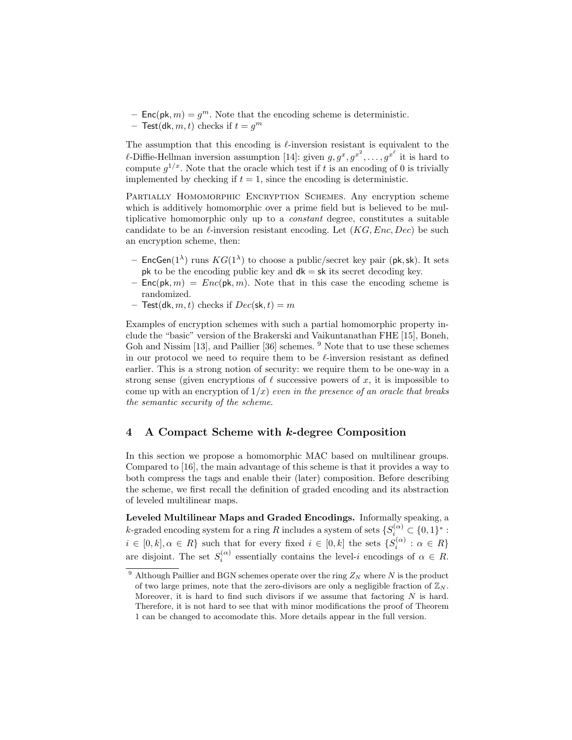- $\mathsf{Enc}(\mathsf{pk}, m) = g^m$ . Note that the encoding scheme is deterministic.
- Test(dk,  $m, t$ ) checks if  $t = g^m$

The assumption that this encoding is  $\ell$ -inversion resistant is equivalent to the l-Diffie-Hellman inversion assumption [14]: given  $g, g^x, g^{x^2}, \ldots, g^{x^{\ell}}$  it is hard to compute  $g^{1/x}$ . Note that the oracle which test if t is an encoding of 0 is trivially implemented by checking if  $t = 1$ , since the encoding is deterministic.

PARTIALLY HOMOMORPHIC ENCRYPTION SCHEMES. Any encryption scheme which is additively homomorphic over a prime field but is believed to be multiplicative homomorphic only up to a constant degree, constitutes a suitable candidate to be an  $\ell$ -inversion resistant encoding. Let  $(KG, Enc, Dec)$  be such an encryption scheme, then:

- EncGen( $1^{\lambda}$ ) runs  $KG(1^{\lambda})$  to choose a public/secret key pair ( $pk, sk$ ). It sets pk to be the encoding public key and  $dk = sk$  its secret decoding key.
- $-$  Enc(pk, m) =  $Enc(\mathsf{pk}, m)$ . Note that in this case the encoding scheme is randomized.
- $\textsf{Test}(\textsf{dk}, m, t)$  checks if  $Dec(\textsf{sk}, t) = m$

Examples of encryption schemes with such a partial homomorphic property include the "basic" version of the Brakerski and Vaikuntanathan FHE [15], Boneh, Goh and Nissim [13], and Paillier [36] schemes. <sup>9</sup> Note that to use these schemes in our protocol we need to require them to be  $\ell$ -inversion resistant as defined earlier. This is a strong notion of security: we require them to be one-way in a strong sense (given encryptions of  $\ell$  successive powers of x, it is impossible to come up with an encryption of  $1/x$ ) even in the presence of an oracle that breaks the semantic security of the scheme.

## 4 A Compact Scheme with k-degree Composition

In this section we propose a homomorphic MAC based on multilinear groups. Compared to [16], the main advantage of this scheme is that it provides a way to both compress the tags and enable their (later) composition. Before describing the scheme, we first recall the definition of graded encoding and its abstraction of leveled multilinear maps.

Leveled Multilinear Maps and Graded Encodings. Informally speaking, a k-graded encoding system for a ring  $R$  includes a system of sets  $\{S_i^{(\alpha)}\subset \{0,1\}^*$ :  $i \in [0, k], \alpha \in R$ } such that for every fixed  $i \in [0, k]$  the sets  $\{S_i^{(\alpha)} : \alpha \in R\}$ are disjoint. The set  $S_i^{(\alpha)}$  essentially contains the level-i encodings of  $\alpha \in R$ .

<sup>&</sup>lt;sup>9</sup> Although Paillier and BGN schemes operate over the ring  $Z_N$  where N is the product of two large primes, note that the zero-divisors are only a negligible fraction of  $\mathbb{Z}_N$ . Moreover, it is hard to find such divisors if we assume that factoring  $N$  is hard. Therefore, it is not hard to see that with minor modifications the proof of Theorem 1 can be changed to accomodate this. More details appear in the full version.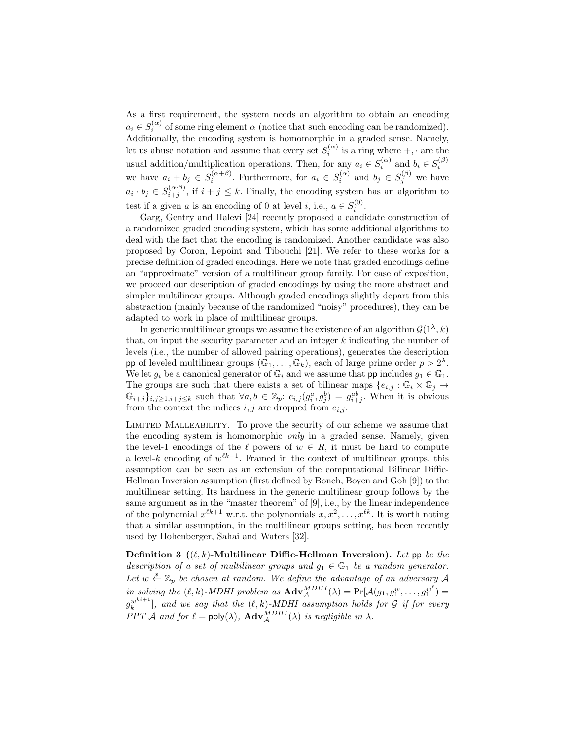As a first requirement, the system needs an algorithm to obtain an encoding  $a_i \in S_i^{(\alpha)}$  of some ring element  $\alpha$  (notice that such encoding can be randomized). Additionally, the encoding system is homomorphic in a graded sense. Namely, let us abuse notation and assume that every set  $S_i^{(\alpha)}$  is a ring where  $+$ , $\cdot$  are the usual addition/multiplication operations. Then, for any  $a_i \in S_i^{(\alpha)}$  and  $b_i \in S_i^{(\beta)}$ we have  $a_i + b_j \in S_i^{(\alpha+\beta)}$ . Furthermore, for  $a_i \in S_i^{(\alpha)}$  and  $b_j \in S_j^{(\beta)}$  we have  $a_i \cdot b_j \in S_{i+j}^{(\alpha \cdot \beta)}$ , if  $i+j \leq k$ . Finally, the encoding system has an algorithm to test if a given a is an encoding of 0 at level *i*, i.e.,  $a \in S_i^{(0)}$ .

Garg, Gentry and Halevi [24] recently proposed a candidate construction of a randomized graded encoding system, which has some additional algorithms to deal with the fact that the encoding is randomized. Another candidate was also proposed by Coron, Lepoint and Tibouchi [21]. We refer to these works for a precise definition of graded encodings. Here we note that graded encodings define an "approximate" version of a multilinear group family. For ease of exposition, we proceed our description of graded encodings by using the more abstract and simpler multilinear groups. Although graded encodings slightly depart from this abstraction (mainly because of the randomized "noisy" procedures), they can be adapted to work in place of multilinear groups.

In generic multilinear groups we assume the existence of an algorithm  $\mathcal{G}(1^{\lambda},k)$ that, on input the security parameter and an integer  $k$  indicating the number of levels (i.e., the number of allowed pairing operations), generates the description pp of leveled multilinear groups  $(\mathbb{G}_1, \ldots, \mathbb{G}_k)$ , each of large prime order  $p > 2^{\lambda}$ . We let  $g_i$  be a canonical generator of  $\mathbb{G}_i$  and we assume that pp includes  $g_1 \in \mathbb{G}_1$ . The groups are such that there exists a set of bilinear maps  $\{e_{i,j} : \mathbb{G}_i \times \mathbb{G}_j \to \mathbb{G}_j\}$  $\mathbb{G}_{i+j}$ <sub>i,j≥1,i+j≤k</sub> such that  $\forall a, b \in \mathbb{Z}_p$ :  $e_{i,j}(g_i^a, g_j^b) = g_{i+j}^{ab}$ . When it is obvious from the context the indices  $i, j$  are dropped from  $e_{i,j}$ .

Limited Malleability. To prove the security of our scheme we assume that the encoding system is homomorphic only in a graded sense. Namely, given the level-1 encodings of the  $\ell$  powers of  $w \in R$ , it must be hard to compute a level-k encoding of  $w^{\ell k+1}$ . Framed in the context of multilinear groups, this assumption can be seen as an extension of the computational Bilinear Diffie-Hellman Inversion assumption (first defined by Boneh, Boyen and Goh [9]) to the multilinear setting. Its hardness in the generic multilinear group follows by the same argument as in the "master theorem" of [9], i.e., by the linear independence of the polynomial  $x^{\ell k+1}$  w.r.t. the polynomials  $x, x^2, \ldots, x^{\ell k}$ . It is worth noting that a similar assumption, in the multilinear groups setting, has been recently used by Hohenberger, Sahai and Waters [32].

Definition 3  $((\ell, k)$ -Multilinear Diffie-Hellman Inversion). Let pp be the description of a set of multilinear groups and  $g_1 \in \mathbb{G}_1$  be a random generator. Let  $w \stackrel{\hspace{0.1em}\mathsf{\scriptscriptstyle\$}}{\leftarrow} \mathbb{Z}_p$  be chosen at random. We define the advantage of an adversary A in solving the  $(\ell, k)$ -MDHI problem as  $\mathbf{Adv}_{\mathcal{A}}^{MDHI}(\lambda) = \Pr[\mathcal{A}(g_1, g_1^w, \dots, g_1^{w^\ell})]$  $g_{k}^{w^{k\ell+1}}]$ , and we say that the  $(\ell, k)$ -MDHI assumption holds for G if for every PPT A and for  $\ell = \text{poly}(\lambda)$ ,  $\text{Adv}_{\mathcal{A}}^{MDHI}(\lambda)$  is negligible in  $\lambda$ .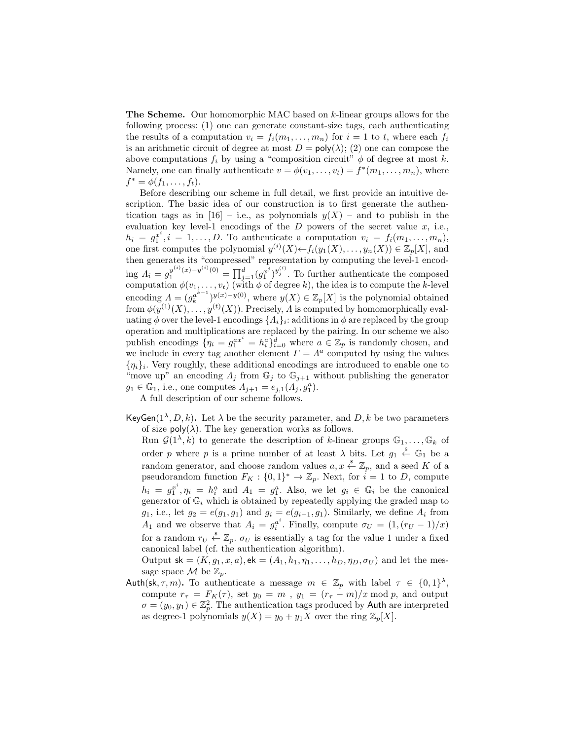The Scheme. Our homomorphic MAC based on k-linear groups allows for the following process: (1) one can generate constant-size tags, each authenticating the results of a computation  $v_i = f_i(m_1, \ldots, m_n)$  for  $i = 1$  to t, where each  $f_i$ is an arithmetic circuit of degree at most  $D = \text{poly}(\lambda)$ ; (2) one can compose the above computations  $f_i$  by using a "composition circuit"  $\phi$  of degree at most k. Namely, one can finally authenticate  $v = \phi(v_1, \ldots, v_t) = f^*(m_1, \ldots, m_n)$ , where  $f^* = \phi(f_1, ..., f_t).$ 

Before describing our scheme in full detail, we first provide an intuitive description. The basic idea of our construction is to first generate the authentication tags as in [16] – i.e., as polynomials  $y(X)$  – and to publish in the evaluation key level-1 encodings of the  $D$  powers of the secret value  $x$ , i.e.,  $h_i = g_1^{x^i}, i = 1, \ldots, D$ . To authenticate a computation  $v_i = f_i(m_1, \ldots, m_n)$ , one first computes the polynomial  $y^{(i)}(X) \leftarrow f_i(y_1(X), \ldots, y_n(X)) \in \mathbb{Z}_p[X]$ , and then generates its "compressed" representation by computing the level-1 encoding  $\Lambda_i = g_1^{y^{(i)}(x)-y^{(i)}(0)} = \prod_{j=1}^d (g_1^{x^j})^{y_j^{(i)}}$ . To further authenticate the composed computation  $\phi(v_1, \ldots, v_t)$  (with  $\phi$  of degree k), the idea is to compute the k-level encoding  $A = (g_k^{a^{k-1}})^{y(x)-y(0)}$ , where  $y(X) \in \mathbb{Z}_p[X]$  is the polynomial obtained from  $\phi(y^{(1)}(X), \ldots, y^{(t)}(X))$ . Precisely, A is computed by homomorphically evaluating  $\phi$  over the level-1 encodings  $\{\Lambda_i\}_i$ : additions in  $\phi$  are replaced by the group operation and multiplications are replaced by the pairing. In our scheme we also publish encodings  $\{\eta_i = g_1^{ax^i} = h_i^a\}_{i=0}^d$  where  $a \in \mathbb{Z}_p$  is randomly chosen, and we include in every tag another element  $\Gamma = \Lambda^a$  computed by using the values  $\{\eta_i\}_i$ . Very roughly, these additional encodings are introduced to enable one to "move up" an encoding  $\Lambda_i$  from  $\mathbb{G}_i$  to  $\mathbb{G}_{i+1}$  without publishing the generator  $g_1 \in \mathbb{G}_1$ , i.e., one computes  $\Lambda_{j+1} = e_{j,1}(\Lambda_j, g_1^a)$ .

A full description of our scheme follows.

KeyGen( $1^{\lambda}, D, k$ ). Let  $\lambda$  be the security parameter, and  $D, k$  be two parameters of size  $\mathsf{poly}(\lambda)$ . The key generation works as follows.

Run  $\mathcal{G}(1^{\lambda}, k)$  to generate the description of k-linear groups  $\mathbb{G}_1, \ldots, \mathbb{G}_k$  of order p where p is a prime number of at least  $\lambda$  bits. Let  $g_1 \stackrel{s}{\leftarrow} \mathbb{G}_1$  be a random generator, and choose random values  $a, x \stackrel{\$}{\leftarrow} \mathbb{Z}_p$ , and a seed K of a pseudorandom function  $F_K: \{0,1\}^* \to \mathbb{Z}_p$ . Next, for  $i = 1$  to D, compute  $h_i = g_1^{x^i}, \eta_i = h_i^a$  and  $A_1 = g_1^a$ . Also, we let  $g_i \in \mathbb{G}_i$  be the canonical generator of  $\mathbb{G}_i$  which is obtained by repeatedly applying the graded map to g<sub>1</sub>, i.e., let  $g_2 = e(g_1, g_1)$  and  $g_i = e(g_{i-1}, g_1)$ . Similarly, we define  $A_i$  from  $A_1$  and we observe that  $A_i = g_i^{a^i}$ . Finally, compute  $\sigma_U = (1,(r_U-1)/x)$ for a random  $r_U \overset{\$}{\leftarrow} \mathbb{Z}_p$ .  $\sigma_U$  is essentially a tag for the value 1 under a fixed canonical label (cf. the authentication algorithm).

Output  $sk = (K, g_1, x, a)$ ,  $ek = (A_1, h_1, \eta_1, \ldots, h_D, \eta_D, \sigma_U)$  and let the message space  $\mathcal M$  be  $\mathbb{Z}_p$ .

Auth(sk,  $\tau$ , *m*). To authenticate a message  $m \in \mathbb{Z}_p$  with label  $\tau \in \{0,1\}^{\lambda}$ , compute  $r_{\tau} = F_K(\tau)$ , set  $y_0 = m$ ,  $y_1 = (r_{\tau} - m)/x \mod p$ , and output  $\sigma = (y_0, y_1) \in \mathbb{Z}_p^2$ . The authentication tags produced by Auth are interpreted as degree-1 polynomials  $y(X) = y_0 + y_1 X$  over the ring  $\mathbb{Z}_p[X]$ .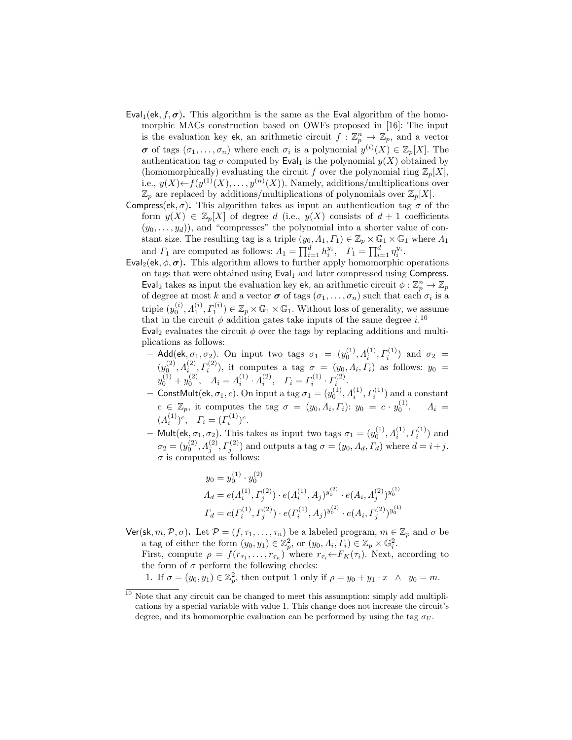- Eval<sub>1</sub>(ek, f,  $\sigma$ ). This algorithm is the same as the Eval algorithm of the homomorphic MACs construction based on OWFs proposed in [16]: The input is the evaluation key ek, an arithmetic circuit  $f: \mathbb{Z}_p^n \to \mathbb{Z}_p$ , and a vector **σ** of tags  $(σ_1, ..., σ_n)$  where each  $σ_i$  is a polynomial  $y^{(i)}(X) \in \mathbb{Z}_p[X]$ . The authentication tag  $\sigma$  computed by Eval<sub>1</sub> is the polynomial  $y(X)$  obtained by (homomorphically) evaluating the circuit f over the polynomial ring  $\mathbb{Z}_p[X]$ , i.e.,  $y(X) \leftarrow f(y^{(1)}(X), \ldots, y^{(n)}(X))$ . Namely, additions/multiplications over  $\mathbb{Z}_p$  are replaced by additions/multiplications of polynomials over  $\mathbb{Z}_p[X]$ .
- Compress(ek,  $\sigma$ ). This algorithm takes as input an authentication tag  $\sigma$  of the form  $y(X) \in \mathbb{Z}_p[X]$  of degree d (i.e.,  $y(X)$  consists of  $d+1$  coefficients  $(y_0, \ldots, y_d)$ , and "compresses" the polynomial into a shorter value of constant size. The resulting tag is a triple  $(y_0, \Lambda_1, \Gamma_1) \in \mathbb{Z}_p \times \mathbb{G}_1 \times \mathbb{G}_1$  where  $\Lambda_1$ and  $\Gamma_1$  are computed as follows:  $\Lambda_1 = \prod_{i=1}^d h_i^{y_i}, \quad \Gamma_1 = \prod_{i=1}^d \eta_i^{y_i}.$
- Eval<sub>2</sub>(ek,  $\phi$ ,  $\sigma$ ). This algorithm allows to further apply homomorphic operations on tags that were obtained using  $Eval<sub>1</sub>$  and later compressed using Compress. Eval<sub>2</sub> takes as input the evaluation key ek, an arithmetic circuit  $\phi : \mathbb{Z}_p^n \to \mathbb{Z}_p$ of degree at most k and a vector  $\sigma$  of tags  $(\sigma_1, \ldots, \sigma_n)$  such that each  $\sigma_i$  is a triple  $(y_0^{(i)}, \Lambda_1^{(i)}, \Gamma_1^{(i)}) \in \mathbb{Z}_p \times \mathbb{G}_1 \times \mathbb{G}_1$ . Without loss of generality, we assume that in the circuit  $\phi$  addition gates take inputs of the same degree i.<sup>10</sup> Eval<sub>2</sub> evaluates the circuit  $\phi$  over the tags by replacing additions and multi
	- plications as follows:
		- Add(ek,  $\sigma_1$ ,  $\sigma_2$ ). On input two tags  $\sigma_1$  = ( $y_0^{(1)}, \varLambda_i^{(1)}, \varGamma_i^{(1)})$  and  $\sigma_2$  =  $(y_0^{(2)}, \Lambda_i^{(2)}, \Gamma_i^{(2)})$ , it computes a tag  $\sigma = (y_0, \Lambda_i, \Gamma_i)$  as follows:  $y_0 =$  $y_0^{(1)} + y_0^{(2)}, \quad A_i = A_i^{(1)} \cdot A_i^{(2)}, \quad \Gamma_i = \Gamma_i^{(1)} \cdot \Gamma_i^{(2)}.$
		- ConstMult(ek,  $\sigma_1$ , *c*). On input a tag  $\sigma_1 = (y_0^{(1)}, \Lambda_i^{(1)}, \Gamma_i^{(1)})$  and a constant  $c \in \mathbb{Z}_p$ , it computes the tag  $\sigma = (y_0, A_i, \Gamma_i): y_0 = c \cdot y_0^{(1)}$  $\Lambda_i =$  $(A_i^{(1)})^c$ ,  $\Gamma_i = (\Gamma_i^{(1)})^c$ .
		- Mult(ek,  $\sigma_1, \sigma_2$ ). This takes as input two tags  $\sigma_1 = (y_0^{(1)}, A_i^{(1)}, \Gamma_i^{(1)})$  and  $\sigma_2 = (y_0^{(2)}, A_j^{(2)}, \Gamma_j^{(2)})$  and outputs a tag  $\sigma = (y_0, A_d, \Gamma_d)$  where  $d = i + j$ .  $\sigma$  is computed as follows:

$$
y_0 = y_0^{(1)} \cdot y_0^{(2)}
$$
  
\n
$$
A_d = e(\Lambda_i^{(1)}, \Gamma_j^{(2)}) \cdot e(\Lambda_i^{(1)}, A_j)^{y_0^{(2)}} \cdot e(A_i, \Lambda_j^{(2)})^{y_0^{(1)}}
$$
  
\n
$$
\Gamma_d = e(\Gamma_i^{(1)}, \Gamma_j^{(2)}) \cdot e(\Gamma_i^{(1)}, A_j)^{y_0^{(2)}} \cdot e(A_i, \Gamma_j^{(2)})^{y_0^{(1)}}
$$

 $\mathsf{Ver}(\mathsf{sk}, m, \mathcal{P}, \sigma)$ . Let  $\mathcal{P} = (f, \tau_1, \dots, \tau_n)$  be a labeled program,  $m \in \mathbb{Z}_p$  and  $\sigma$  be a tag of either the form  $(y_0, y_1) \in \mathbb{Z}_p^2$ , or  $(y_0, \Lambda_i, \Gamma_i) \in \mathbb{Z}_p \times \mathbb{G}_i^2$ . First, compute  $\rho = f(r_{\tau_1}, \ldots, r_{\tau_n})$  where  $r_{\tau_i} \leftarrow F_K(\tau_i)$ . Next, according to the form of  $\sigma$  perform the following checks:

1. If  $\sigma = (y_0, y_1) \in \mathbb{Z}_p^2$ , then output 1 only if  $\rho = y_0 + y_1 \cdot x \quad \wedge \quad y_0 = m$ .

 $10$  Note that any circuit can be changed to meet this assumption: simply add multiplications by a special variable with value 1. This change does not increase the circuit's degree, and its homomorphic evaluation can be performed by using the tag  $\sigma_U$ .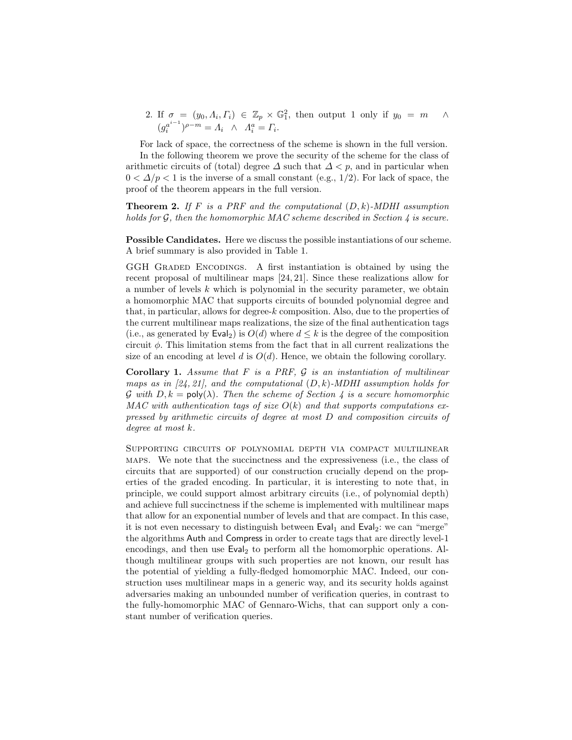2. If  $\sigma = (y_0, \Lambda_i, \Gamma_i) \in \mathbb{Z}_p \times \mathbb{G}_1^2$ , then output 1 only if  $y_0 = m \Lambda$  $(g_i^{a^{i-1}})^{\rho-m} = \Lambda_i \quad \wedge \quad \Lambda_i^a = \Gamma_i.$ 

For lack of space, the correctness of the scheme is shown in the full version.

In the following theorem we prove the security of the scheme for the class of arithmetic circuits of (total) degree  $\Delta$  such that  $\Delta < p$ , and in particular when  $0 < \Delta/p < 1$  is the inverse of a small constant (e.g., 1/2). For lack of space, the proof of the theorem appears in the full version.

**Theorem 2.** If F is a PRF and the computational  $(D, k)$ -MDHI assumption holds for  $\mathcal G$ , then the homomorphic MAC scheme described in Section 4 is secure.

Possible Candidates. Here we discuss the possible instantiations of our scheme. A brief summary is also provided in Table 1.

GGH GRADED ENCODINGS. A first instantiation is obtained by using the recent proposal of multilinear maps [24, 21]. Since these realizations allow for a number of levels  $k$  which is polynomial in the security parameter, we obtain a homomorphic MAC that supports circuits of bounded polynomial degree and that, in particular, allows for degree- $k$  composition. Also, due to the properties of the current multilinear maps realizations, the size of the final authentication tags (i.e., as generated by  $\text{Eval}_2$ ) is  $O(d)$  where  $d \leq k$  is the degree of the composition circuit  $\phi$ . This limitation stems from the fact that in all current realizations the size of an encoding at level d is  $O(d)$ . Hence, we obtain the following corollary.

**Corollary 1.** Assume that  $F$  is a PRF,  $G$  is an instantiation of multilinear maps as in [24, 21], and the computational  $(D, k)$ -MDHI assumption holds for G with  $D, k = \text{poly}(\lambda)$ . Then the scheme of Section 4 is a secure homomorphic MAC with authentication tags of size  $O(k)$  and that supports computations expressed by arithmetic circuits of degree at most D and composition circuits of degree at most k.

Supporting circuits of polynomial depth via compact multilinear maps. We note that the succinctness and the expressiveness (i.e., the class of circuits that are supported) of our construction crucially depend on the properties of the graded encoding. In particular, it is interesting to note that, in principle, we could support almost arbitrary circuits (i.e., of polynomial depth) and achieve full succinctness if the scheme is implemented with multilinear maps that allow for an exponential number of levels and that are compact. In this case, it is not even necessary to distinguish between  $Eval<sub>1</sub>$  and  $Eval<sub>2</sub>$ : we can "merge" the algorithms Auth and Compress in order to create tags that are directly level-1 encodings, and then use  $Eval<sub>2</sub>$  to perform all the homomorphic operations. Although multilinear groups with such properties are not known, our result has the potential of yielding a fully-fledged homomorphic MAC. Indeed, our construction uses multilinear maps in a generic way, and its security holds against adversaries making an unbounded number of verification queries, in contrast to the fully-homomorphic MAC of Gennaro-Wichs, that can support only a constant number of verification queries.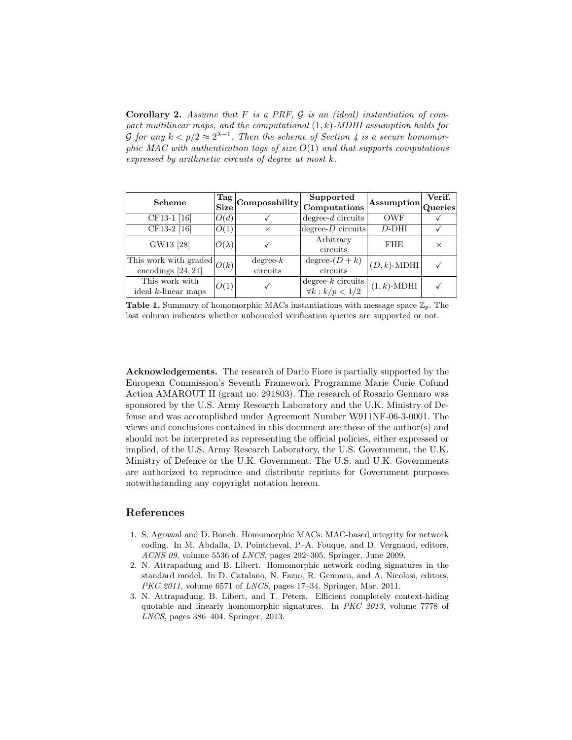Corollary 2. Assume that  $F$  is a PRF,  $G$  is an (ideal) instantiation of compact multilinear maps, and the computational  $(1, k)$ -MDHI assumption holds for G for any  $k < p/2 \approx 2^{\lambda-1}$ . Then the scheme of Section 4 is a secure homomorphic MAC with authentication tags of size  $O(1)$  and that supports computations expressed by arithmetic circuits of degree at most k.

| <b>Scheme</b>                                 |              | $\begin{array}{c}\n\text{Tag} \\ \text{Size}\n\end{array}\n\left \text{Composition}.\right $ | Supported<br>Computations                      | $ {\rm Assumption} _{\rm Queries} $ | Verif.   |
|-----------------------------------------------|--------------|----------------------------------------------------------------------------------------------|------------------------------------------------|-------------------------------------|----------|
| CF13-1 [16]                                   | O(d)         |                                                                                              | $degree-d$ circuits                            | <b>OWF</b>                          |          |
| $CF13-2$ [16]                                 | O(1)         | $\times$                                                                                     | $degree-D$ circuits                            | $D$ -DHI                            |          |
| GW13 <sup>[28]</sup>                          | $O(\lambda)$ |                                                                                              | Arbitrary<br>circuits                          | <b>FHE</b>                          | $\times$ |
| This work with graded<br>encodings $[24, 21]$ | O(k)         | $degree-k$<br>circuits                                                                       | $degree(D+k)$<br>circuits                      | $(D, k)$ -MDHI                      |          |
| This work with<br>ideal $k$ -linear maps      | O(1)         |                                                                                              | $degree-k$ circuits<br>$\forall k : k/p < 1/2$ | $(1,k)$ -MDHI                       |          |

**Table 1.** Summary of homomorphic MACs instantiations with message space  $\mathbb{Z}_p$ . The last column indicates whether unbounded verification queries are supported or not.

Acknowledgements. The research of Dario Fiore is partially supported by the European Commission's Seventh Framework Programme Marie Curie Cofund Action AMAROUT II (grant no. 291803). The research of Rosario Gennaro was sponsored by the U.S. Army Research Laboratory and the U.K. Ministry of Defense and was accomplished under Agreement Number W911NF-06-3-0001. The views and conclusions contained in this document are those of the author(s) and should not be interpreted as representing the official policies, either expressed or implied, of the U.S. Army Research Laboratory, the U.S. Government, the U.K. Ministry of Defence or the U.K. Government. The U.S. and U.K. Governments are authorized to reproduce and distribute reprints for Government purposes notwithstanding any copyright notation hereon.

## References

- 1. S. Agrawal and D. Boneh. Homomorphic MACs: MAC-based integrity for network coding. In M. Abdalla, D. Pointcheval, P.-A. Fouque, and D. Vergnaud, editors, ACNS 09, volume 5536 of LNCS, pages 292–305. Springer, June 2009.
- 2. N. Attrapadung and B. Libert. Homomorphic network coding signatures in the standard model. In D. Catalano, N. Fazio, R. Gennaro, and A. Nicolosi, editors, PKC 2011, volume 6571 of LNCS, pages 17–34. Springer, Mar. 2011.
- 3. N. Attrapadung, B. Libert, and T. Peters. Efficient completely context-hiding quotable and linearly homomorphic signatures. In PKC 2013, volume 7778 of LNCS, pages 386–404. Springer, 2013.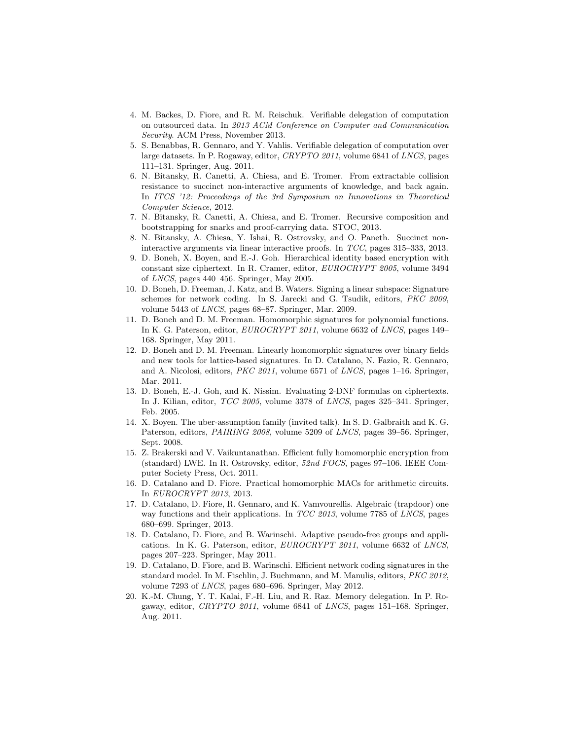- 4. M. Backes, D. Fiore, and R. M. Reischuk. Verifiable delegation of computation on outsourced data. In 2013 ACM Conference on Computer and Communication Security. ACM Press, November 2013.
- 5. S. Benabbas, R. Gennaro, and Y. Vahlis. Verifiable delegation of computation over large datasets. In P. Rogaway, editor, CRYPTO 2011, volume 6841 of LNCS, pages 111–131. Springer, Aug. 2011.
- 6. N. Bitansky, R. Canetti, A. Chiesa, and E. Tromer. From extractable collision resistance to succinct non-interactive arguments of knowledge, and back again. In ITCS '12: Proceedings of the 3rd Symposium on Innovations in Theoretical Computer Science, 2012.
- 7. N. Bitansky, R. Canetti, A. Chiesa, and E. Tromer. Recursive composition and bootstrapping for snarks and proof-carrying data. STOC, 2013.
- 8. N. Bitansky, A. Chiesa, Y. Ishai, R. Ostrovsky, and O. Paneth. Succinct noninteractive arguments via linear interactive proofs. In TCC, pages 315–333, 2013.
- 9. D. Boneh, X. Boyen, and E.-J. Goh. Hierarchical identity based encryption with constant size ciphertext. In R. Cramer, editor, EUROCRYPT 2005, volume 3494 of LNCS, pages 440–456. Springer, May 2005.
- 10. D. Boneh, D. Freeman, J. Katz, and B. Waters. Signing a linear subspace: Signature schemes for network coding. In S. Jarecki and G. Tsudik, editors, PKC 2009, volume 5443 of LNCS, pages 68–87. Springer, Mar. 2009.
- 11. D. Boneh and D. M. Freeman. Homomorphic signatures for polynomial functions. In K. G. Paterson, editor, EUROCRYPT 2011, volume 6632 of LNCS, pages 149– 168. Springer, May 2011.
- 12. D. Boneh and D. M. Freeman. Linearly homomorphic signatures over binary fields and new tools for lattice-based signatures. In D. Catalano, N. Fazio, R. Gennaro, and A. Nicolosi, editors, PKC 2011, volume 6571 of LNCS, pages 1–16. Springer, Mar. 2011.
- 13. D. Boneh, E.-J. Goh, and K. Nissim. Evaluating 2-DNF formulas on ciphertexts. In J. Kilian, editor, TCC 2005, volume 3378 of LNCS, pages 325–341. Springer, Feb. 2005.
- 14. X. Boyen. The uber-assumption family (invited talk). In S. D. Galbraith and K. G. Paterson, editors, PAIRING 2008, volume 5209 of LNCS, pages 39–56. Springer, Sept. 2008.
- 15. Z. Brakerski and V. Vaikuntanathan. Efficient fully homomorphic encryption from (standard) LWE. In R. Ostrovsky, editor, 52nd FOCS, pages 97–106. IEEE Computer Society Press, Oct. 2011.
- 16. D. Catalano and D. Fiore. Practical homomorphic MACs for arithmetic circuits. In EUROCRYPT 2013, 2013.
- 17. D. Catalano, D. Fiore, R. Gennaro, and K. Vamvourellis. Algebraic (trapdoor) one way functions and their applications. In TCC 2013, volume 7785 of LNCS, pages 680–699. Springer, 2013.
- 18. D. Catalano, D. Fiore, and B. Warinschi. Adaptive pseudo-free groups and applications. In K. G. Paterson, editor, EUROCRYPT 2011, volume 6632 of LNCS, pages 207–223. Springer, May 2011.
- 19. D. Catalano, D. Fiore, and B. Warinschi. Efficient network coding signatures in the standard model. In M. Fischlin, J. Buchmann, and M. Manulis, editors, PKC 2012, volume 7293 of LNCS, pages 680–696. Springer, May 2012.
- 20. K.-M. Chung, Y. T. Kalai, F.-H. Liu, and R. Raz. Memory delegation. In P. Rogaway, editor, CRYPTO 2011, volume 6841 of LNCS, pages 151–168. Springer, Aug. 2011.